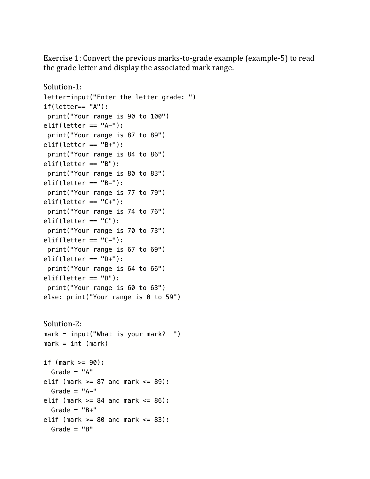Exercise 1: Convert the previous marks-to-grade example (example-5) to read the grade letter and display the associated mark range.

```
Solution-1:
letter=input("Enter the letter grade: ")
if(letter== "A"):
print("Your range is 90 to 100")
elif(letter == "A-"):
print("Your range is 87 to 89")
elif(letter == "B+"):
print("Your range is 84 to 86")
elif(letter == "B"):
print("Your range is 80 to 83") 
elif(letter == "B-"):
print("Your range is 77 to 79") 
elif(letter == "C+"):
print("Your range is 74 to 76") 
elif(letter == "C"):
print("Your range is 70 to 73")
elif(letter == "C-"):
print("Your range is 67 to 69")
elif(letter == "D+"):
print("Your range is 64 to 66")
elif(letter == "D"):
print("Your range is 60 to 63")
else: print("Your range is 0 to 59")
Solution-2:
mark = input("What is your mark? ")
mark = int (mark)if (mark >= 90):
 Grade = "A"elif (mark >= 87 and mark <= 89):
 Grade = "A-"elif (mark >= 84 and mark <= 86):
 Grade = "B+"elif (mark >= 80 and mark <= 83):
 Grade = "B"
```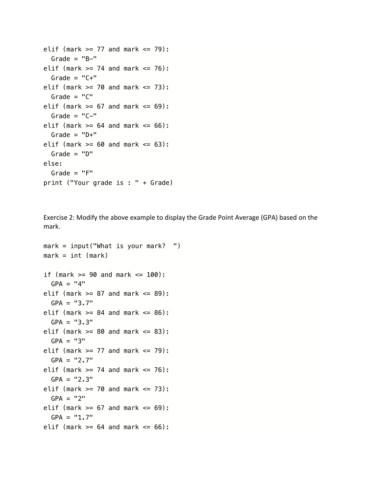```
elif (mark >= 77 and mark <= 79):
 Grade = "B-"elif (mark >= 74 and mark <= 76):
 Grade = "C+"elif (mark >= 70 and mark <= 73):
 Grade = "C"elif (mark >= 67 and mark <= 69):
 Grade = "C-"elif (mark >= 64 and mark <= 66):
 Grade = "D+"elif (mark >= 60 and mark <= 63):
 Grade = "D"else:
 Grade = "F"print ("Your grade is : " + Grade)
```
Exercise 2: Modify the above example to display the Grade Point Average (GPA) based on the mark.

```
mark = input("What is your mark? ")
mark = int (mark)if (mark >= 90 and mark <= 100):
 GPA = "4"elif (mark >= 87 and mark <= 89):
 GPA = "3.7"elif (mark >= 84 and mark <= 86):
 GPA = "3.3"elif (mark >= 80 and mark <= 83):
 GPA = "3"elif (mark >= 77 and mark <= 79):
 GPA = "2.7"elif (mark >= 74 and mark <= 76):
 GPA = "2.3"elif (mark >= 70 and mark <= 73):
 GPA = "2"elif (mark >= 67 and mark <= 69):
 GPA = "1.7"elif (mark >= 64 and mark <= 66):
```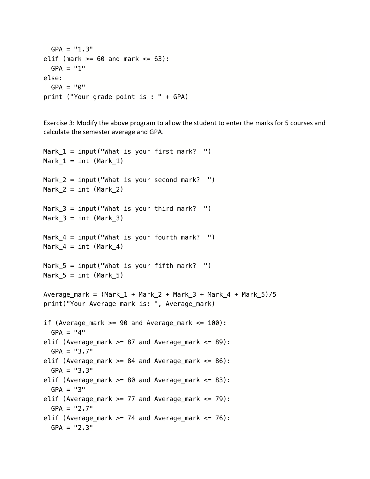```
GPA = "1.3"elif (mark >= 60 and mark <= 63):
 GPA = "1"else:
 GPA = "0"print ("Your grade point is : " + GPA)
```
Exercise 3: Modify the above program to allow the student to enter the marks for 5 courses and calculate the semester average and GPA.

```
Mark 1 = input("What is your first mark? ")Mark 1 = int (Mark 1)
Mark 2 = input("What is your second mark? ")Mark_2 = int (Mark_2)Mark_3 = input("What is your third mark?")Mark 3 = int (Mark 3)
Mark 4 = input("What is your fourth mark? ")Mark 4 = int (Mark 4)
Mark-5 = input("What is your fifth mark? ")
Mark_5 = int (Mark_5)Average\_mark = (Mark_1 + Mark_2 + Mark_3 + Mark_4 + Mark_5)/5print("Your Average mark is: ", Average_mark)
if (Average mark >= 90 and Average mark <= 100):
  GPA = "4"elif (Average_mark >= 87 and Average_mark <= 89):
  GPA = "3.7"elif (Average_mark >= 84 and Average_mark <= 86):
  GPA = "3.3"elif (Average_mark >= 80 and Average_mark <= 83):
  GPA = "3"elif (Average_mark >= 77 and Average_mark <= 79):
  GPA = "2.7"elif (Average_mark >= 74 and Average_mark <= 76):
  GPA = "2.3"
```